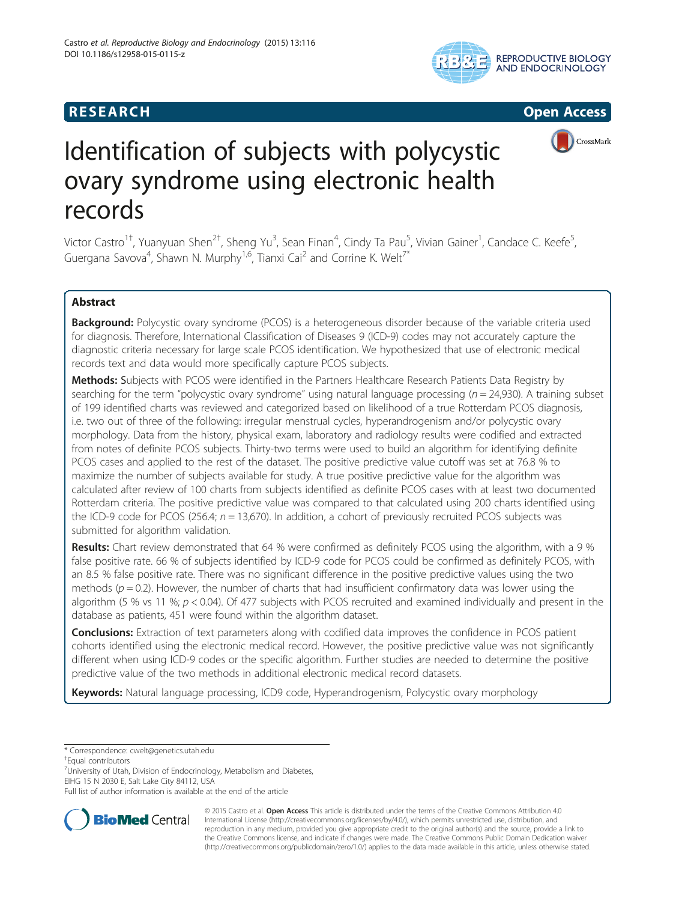# **RESEARCH RESEARCH CONSUMING ACCESS**







# Identification of subjects with polycystic ovary syndrome using electronic health records

Victor Castro<sup>1†</sup>, Yuanyuan Shen<sup>2†</sup>, Sheng Yu<sup>3</sup>, Sean Finan<sup>4</sup>, Cindy Ta Pau<sup>5</sup>, Vivian Gainer<sup>1</sup>, Candace C. Keefe<sup>5</sup> , Guergana Savova<sup>4</sup>, Shawn N. Murphy<sup>1,6</sup>, Tianxi Cai<sup>2</sup> and Corrine K. Welt<sup>7\*</sup>

# Abstract

Background: Polycystic ovary syndrome (PCOS) is a heterogeneous disorder because of the variable criteria used for diagnosis. Therefore, International Classification of Diseases 9 (ICD-9) codes may not accurately capture the diagnostic criteria necessary for large scale PCOS identification. We hypothesized that use of electronic medical records text and data would more specifically capture PCOS subjects.

Methods: Subjects with PCOS were identified in the Partners Healthcare Research Patients Data Registry by searching for the term "polycystic ovary syndrome" using natural language processing ( $n = 24,930$ ). A training subset of 199 identified charts was reviewed and categorized based on likelihood of a true Rotterdam PCOS diagnosis, i.e. two out of three of the following: irregular menstrual cycles, hyperandrogenism and/or polycystic ovary morphology. Data from the history, physical exam, laboratory and radiology results were codified and extracted from notes of definite PCOS subjects. Thirty-two terms were used to build an algorithm for identifying definite PCOS cases and applied to the rest of the dataset. The positive predictive value cutoff was set at 76.8 % to maximize the number of subjects available for study. A true positive predictive value for the algorithm was calculated after review of 100 charts from subjects identified as definite PCOS cases with at least two documented Rotterdam criteria. The positive predictive value was compared to that calculated using 200 charts identified using the ICD-9 code for PCOS (256.4;  $n = 13,670$ ). In addition, a cohort of previously recruited PCOS subjects was submitted for algorithm validation.

Results: Chart review demonstrated that 64 % were confirmed as definitely PCOS using the algorithm, with a 9 % false positive rate. 66 % of subjects identified by ICD-9 code for PCOS could be confirmed as definitely PCOS, with an 8.5 % false positive rate. There was no significant difference in the positive predictive values using the two methods ( $p = 0.2$ ). However, the number of charts that had insufficient confirmatory data was lower using the algorithm (5 % vs 11 %;  $p < 0.04$ ). Of 477 subjects with PCOS recruited and examined individually and present in the database as patients, 451 were found within the algorithm dataset.

**Conclusions:** Extraction of text parameters along with codified data improves the confidence in PCOS patient cohorts identified using the electronic medical record. However, the positive predictive value was not significantly different when using ICD-9 codes or the specific algorithm. Further studies are needed to determine the positive predictive value of the two methods in additional electronic medical record datasets.

**Keywords:** Natural language processing, ICD9 code, Hyperandrogenism, Polycystic ovary morphology

\* Correspondence: [cwelt@genetics.utah.edu](mailto:cwelt@genetics.utah.edu) †

Equal contributors

<sup>7</sup>University of Utah, Division of Endocrinology, Metabolism and Diabetes, EIHG 15 N 2030 E, Salt Lake City 84112, USA

Full list of author information is available at the end of the article



© 2015 Castro et al. Open Access This article is distributed under the terms of the Creative Commons Attribution 4.0 International License [\(http://creativecommons.org/licenses/by/4.0/](http://creativecommons.org/licenses/by/4.0/)), which permits unrestricted use, distribution, and reproduction in any medium, provided you give appropriate credit to the original author(s) and the source, provide a link to the Creative Commons license, and indicate if changes were made. The Creative Commons Public Domain Dedication waiver [\(http://creativecommons.org/publicdomain/zero/1.0/](http://creativecommons.org/publicdomain/zero/1.0/)) applies to the data made available in this article, unless otherwise stated.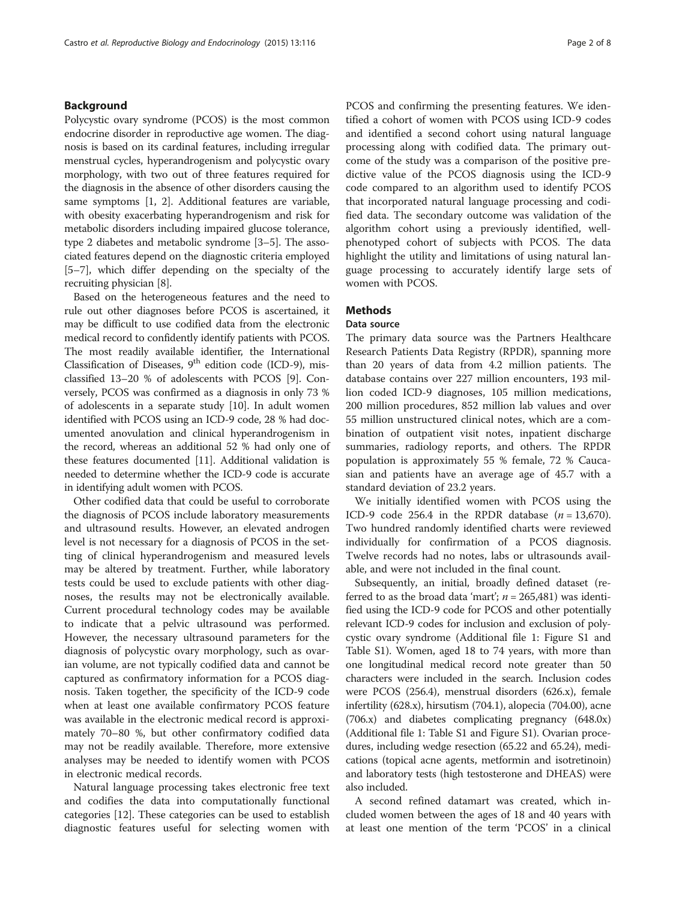#### Background

Polycystic ovary syndrome (PCOS) is the most common endocrine disorder in reproductive age women. The diagnosis is based on its cardinal features, including irregular menstrual cycles, hyperandrogenism and polycystic ovary morphology, with two out of three features required for the diagnosis in the absence of other disorders causing the same symptoms [[1, 2](#page-7-0)]. Additional features are variable, with obesity exacerbating hyperandrogenism and risk for metabolic disorders including impaired glucose tolerance, type 2 diabetes and metabolic syndrome [\[3](#page-7-0)–[5](#page-7-0)]. The associated features depend on the diagnostic criteria employed [[5](#page-7-0)–[7](#page-7-0)], which differ depending on the specialty of the recruiting physician [\[8](#page-7-0)].

Based on the heterogeneous features and the need to rule out other diagnoses before PCOS is ascertained, it may be difficult to use codified data from the electronic medical record to confidently identify patients with PCOS. The most readily available identifier, the International Classification of Diseases, 9<sup>th</sup> edition code (ICD-9), misclassified 13–20 % of adolescents with PCOS [\[9](#page-7-0)]. Conversely, PCOS was confirmed as a diagnosis in only 73 % of adolescents in a separate study [[10](#page-7-0)]. In adult women identified with PCOS using an ICD-9 code, 28 % had documented anovulation and clinical hyperandrogenism in the record, whereas an additional 52 % had only one of these features documented [[11\]](#page-7-0). Additional validation is needed to determine whether the ICD-9 code is accurate in identifying adult women with PCOS.

Other codified data that could be useful to corroborate the diagnosis of PCOS include laboratory measurements and ultrasound results. However, an elevated androgen level is not necessary for a diagnosis of PCOS in the setting of clinical hyperandrogenism and measured levels may be altered by treatment. Further, while laboratory tests could be used to exclude patients with other diagnoses, the results may not be electronically available. Current procedural technology codes may be available to indicate that a pelvic ultrasound was performed. However, the necessary ultrasound parameters for the diagnosis of polycystic ovary morphology, such as ovarian volume, are not typically codified data and cannot be captured as confirmatory information for a PCOS diagnosis. Taken together, the specificity of the ICD-9 code when at least one available confirmatory PCOS feature was available in the electronic medical record is approximately 70–80 %, but other confirmatory codified data may not be readily available. Therefore, more extensive analyses may be needed to identify women with PCOS in electronic medical records.

Natural language processing takes electronic free text and codifies the data into computationally functional categories [\[12](#page-7-0)]. These categories can be used to establish diagnostic features useful for selecting women with PCOS and confirming the presenting features. We identified a cohort of women with PCOS using ICD-9 codes and identified a second cohort using natural language processing along with codified data. The primary outcome of the study was a comparison of the positive predictive value of the PCOS diagnosis using the ICD-9 code compared to an algorithm used to identify PCOS that incorporated natural language processing and codified data. The secondary outcome was validation of the algorithm cohort using a previously identified, wellphenotyped cohort of subjects with PCOS. The data highlight the utility and limitations of using natural language processing to accurately identify large sets of women with PCOS.

#### **Methods**

# Data source

The primary data source was the Partners Healthcare Research Patients Data Registry (RPDR), spanning more than 20 years of data from 4.2 million patients. The database contains over 227 million encounters, 193 million coded ICD-9 diagnoses, 105 million medications, 200 million procedures, 852 million lab values and over 55 million unstructured clinical notes, which are a combination of outpatient visit notes, inpatient discharge summaries, radiology reports, and others. The RPDR population is approximately 55 % female, 72 % Caucasian and patients have an average age of 45.7 with a standard deviation of 23.2 years.

We initially identified women with PCOS using the ICD-9 code 256.4 in the RPDR database  $(n = 13,670)$ . Two hundred randomly identified charts were reviewed individually for confirmation of a PCOS diagnosis. Twelve records had no notes, labs or ultrasounds available, and were not included in the final count.

Subsequently, an initial, broadly defined dataset (referred to as the broad data 'mart';  $n = 265,481$ ) was identified using the ICD-9 code for PCOS and other potentially relevant ICD-9 codes for inclusion and exclusion of polycystic ovary syndrome (Additional file [1](#page-6-0): Figure S1 and Table S1). Women, aged 18 to 74 years, with more than one longitudinal medical record note greater than 50 characters were included in the search. Inclusion codes were PCOS (256.4), menstrual disorders (626.x), female infertility (628.x), hirsutism (704.1), alopecia (704.00), acne (706.x) and diabetes complicating pregnancy (648.0x) (Additional file [1:](#page-6-0) Table S1 and Figure S1). Ovarian procedures, including wedge resection (65.22 and 65.24), medications (topical acne agents, metformin and isotretinoin) and laboratory tests (high testosterone and DHEAS) were also included.

A second refined datamart was created, which included women between the ages of 18 and 40 years with at least one mention of the term 'PCOS' in a clinical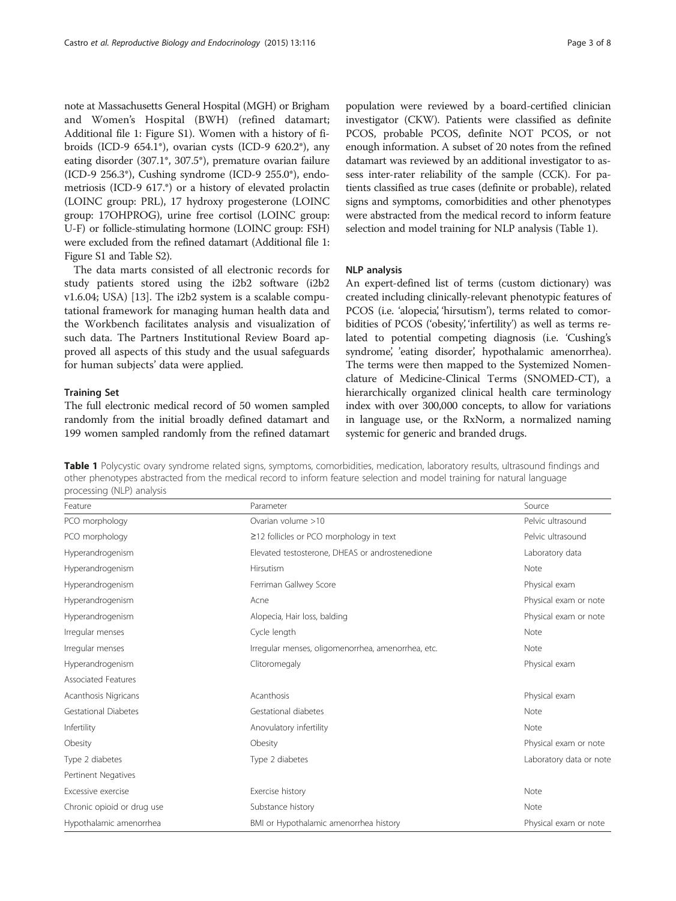note at Massachusetts General Hospital (MGH) or Brigham and Women's Hospital (BWH) (refined datamart; Additional file [1:](#page-6-0) Figure S1). Women with a history of fibroids (ICD-9 654.1\*), ovarian cysts (ICD-9 620.2\*), any eating disorder (307.1\*, 307.5\*), premature ovarian failure (ICD-9 256.3\*), Cushing syndrome (ICD-9 255.0\*), endometriosis (ICD-9 617.\*) or a history of elevated prolactin (LOINC group: PRL), 17 hydroxy progesterone (LOINC group: 17OHPROG), urine free cortisol (LOINC group: U-F) or follicle-stimulating hormone (LOINC group: FSH) were excluded from the refined datamart (Additional file [1](#page-6-0): Figure S1 and Table S2).

The data marts consisted of all electronic records for study patients stored using the i2b2 software (i2b2 v1.6.04; USA) [[13\]](#page-7-0). The i2b2 system is a scalable computational framework for managing human health data and the Workbench facilitates analysis and visualization of such data. The Partners Institutional Review Board approved all aspects of this study and the usual safeguards for human subjects' data were applied.

#### Training Set

The full electronic medical record of 50 women sampled randomly from the initial broadly defined datamart and 199 women sampled randomly from the refined datamart

population were reviewed by a board-certified clinician investigator (CKW). Patients were classified as definite PCOS, probable PCOS, definite NOT PCOS, or not enough information. A subset of 20 notes from the refined datamart was reviewed by an additional investigator to assess inter-rater reliability of the sample (CCK). For patients classified as true cases (definite or probable), related signs and symptoms, comorbidities and other phenotypes were abstracted from the medical record to inform feature selection and model training for NLP analysis (Table 1).

#### NLP analysis

An expert-defined list of terms (custom dictionary) was created including clinically-relevant phenotypic features of PCOS (i.e. 'alopecia', 'hirsutism'), terms related to comorbidities of PCOS ('obesity, 'infertility') as well as terms related to potential competing diagnosis (i.e. 'Cushing's syndrome', 'eating disorder', hypothalamic amenorrhea). The terms were then mapped to the Systemized Nomenclature of Medicine-Clinical Terms (SNOMED-CT), a hierarchically organized clinical health care terminology index with over 300,000 concepts, to allow for variations in language use, or the RxNorm, a normalized naming systemic for generic and branded drugs.

Table 1 Polycystic ovary syndrome related signs, symptoms, comorbidities, medication, laboratory results, ultrasound findings and other phenotypes abstracted from the medical record to inform feature selection and model training for natural language processing (NLP) analysis

| Feature                                                           | Parameter                                          | Source                  |  |  |
|-------------------------------------------------------------------|----------------------------------------------------|-------------------------|--|--|
| PCO morphology                                                    | Ovarian volume >10                                 | Pelvic ultrasound       |  |  |
| PCO morphology                                                    | $\geq$ 12 follicles or PCO morphology in text      | Pelvic ultrasound       |  |  |
| Hyperandrogenism                                                  | Elevated testosterone, DHEAS or androstenedione    | Laboratory data         |  |  |
| Hyperandrogenism                                                  | Hirsutism                                          | Note                    |  |  |
| Hyperandrogenism                                                  | Ferriman Gallwey Score                             | Physical exam           |  |  |
| Hyperandrogenism                                                  | Acne                                               | Physical exam or note   |  |  |
| Hyperandrogenism                                                  | Alopecia, Hair loss, balding                       | Physical exam or note   |  |  |
| Irregular menses                                                  | Cycle length                                       | Note                    |  |  |
| Irregular menses                                                  | Irregular menses, oligomenorrhea, amenorrhea, etc. | Note                    |  |  |
| Hyperandrogenism                                                  | Clitoromegaly                                      | Physical exam           |  |  |
| Associated Features                                               |                                                    |                         |  |  |
| Acanthosis Nigricans                                              | Acanthosis                                         | Physical exam           |  |  |
| Gestational Diabetes                                              | Gestational diabetes                               | Note                    |  |  |
| Infertility                                                       | Anovulatory infertility                            | Note                    |  |  |
| Obesity                                                           | Obesity                                            | Physical exam or note   |  |  |
| Type 2 diabetes                                                   | Type 2 diabetes                                    | Laboratory data or note |  |  |
| Pertinent Negatives                                               |                                                    |                         |  |  |
| Excessive exercise                                                | Exercise history                                   | Note                    |  |  |
| Chronic opioid or drug use                                        | Substance history                                  | Note                    |  |  |
| BMI or Hypothalamic amenorrhea history<br>Hypothalamic amenorrhea |                                                    | Physical exam or note   |  |  |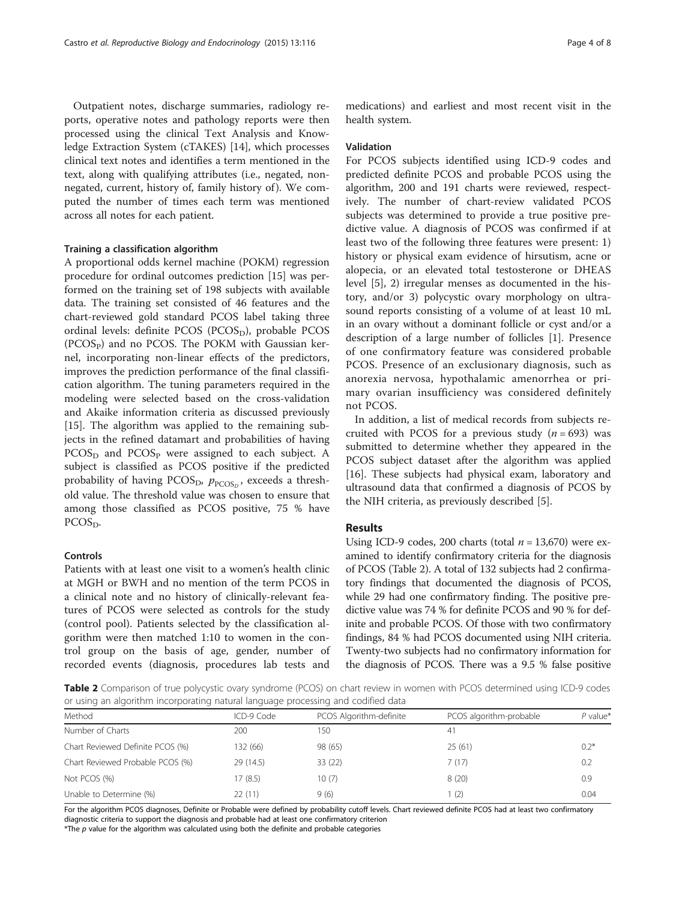<span id="page-3-0"></span>Outpatient notes, discharge summaries, radiology reports, operative notes and pathology reports were then processed using the clinical Text Analysis and Knowledge Extraction System (cTAKES) [[14\]](#page-7-0), which processes clinical text notes and identifies a term mentioned in the text, along with qualifying attributes (i.e., negated, nonnegated, current, history of, family history of ). We computed the number of times each term was mentioned across all notes for each patient.

#### Training a classification algorithm

A proportional odds kernel machine (POKM) regression procedure for ordinal outcomes prediction [\[15](#page-7-0)] was performed on the training set of 198 subjects with available data. The training set consisted of 46 features and the chart-reviewed gold standard PCOS label taking three ordinal levels: definite PCOS (PCOS<sub>D</sub>), probable PCOS  $(PCOS<sub>P</sub>)$  and no PCOS. The POKM with Gaussian kernel, incorporating non-linear effects of the predictors, improves the prediction performance of the final classification algorithm. The tuning parameters required in the modeling were selected based on the cross-validation and Akaike information criteria as discussed previously [[15\]](#page-7-0). The algorithm was applied to the remaining subjects in the refined datamart and probabilities of having PCOS<sub>D</sub> and PCOS<sub>P</sub> were assigned to each subject. A subject is classified as PCOS positive if the predicted probability of having PCOS<sub>D</sub>,  $p_{\text{PCOS}_D}$ , exceeds a threshold value. The threshold value was chosen to ensure that among those classified as PCOS positive, 75 % have PCOS<sub>D</sub>.

# Controls

Patients with at least one visit to a women's health clinic at MGH or BWH and no mention of the term PCOS in a clinical note and no history of clinically-relevant features of PCOS were selected as controls for the study (control pool). Patients selected by the classification algorithm were then matched 1:10 to women in the control group on the basis of age, gender, number of recorded events (diagnosis, procedures lab tests and

medications) and earliest and most recent visit in the health system.

### Validation

For PCOS subjects identified using ICD-9 codes and predicted definite PCOS and probable PCOS using the algorithm, 200 and 191 charts were reviewed, respectively. The number of chart-review validated PCOS subjects was determined to provide a true positive predictive value. A diagnosis of PCOS was confirmed if at least two of the following three features were present: 1) history or physical exam evidence of hirsutism, acne or alopecia, or an elevated total testosterone or DHEAS level [\[5](#page-7-0)], 2) irregular menses as documented in the history, and/or 3) polycystic ovary morphology on ultrasound reports consisting of a volume of at least 10 mL in an ovary without a dominant follicle or cyst and/or a description of a large number of follicles [[1\]](#page-7-0). Presence of one confirmatory feature was considered probable PCOS. Presence of an exclusionary diagnosis, such as anorexia nervosa, hypothalamic amenorrhea or primary ovarian insufficiency was considered definitely not PCOS.

In addition, a list of medical records from subjects recruited with PCOS for a previous study  $(n = 693)$  was submitted to determine whether they appeared in the PCOS subject dataset after the algorithm was applied [[16\]](#page-7-0). These subjects had physical exam, laboratory and ultrasound data that confirmed a diagnosis of PCOS by the NIH criteria, as previously described [[5](#page-7-0)].

### Results

Using ICD-9 codes, 200 charts (total  $n = 13,670$ ) were examined to identify confirmatory criteria for the diagnosis of PCOS (Table 2). A total of 132 subjects had 2 confirmatory findings that documented the diagnosis of PCOS, while 29 had one confirmatory finding. The positive predictive value was 74 % for definite PCOS and 90 % for definite and probable PCOS. Of those with two confirmatory findings, 84 % had PCOS documented using NIH criteria. Twenty-two subjects had no confirmatory information for the diagnosis of PCOS. There was a 9.5 % false positive

Table 2 Comparison of true polycystic ovary syndrome (PCOS) on chart review in women with PCOS determined using ICD-9 codes or using an algorithm incorporating natural language processing and codified data

| Method                           | ICD-9 Code | PCOS Algorithm-definite | PCOS algorithm-probable | $P$ value* |
|----------------------------------|------------|-------------------------|-------------------------|------------|
| Number of Charts                 | 200        | 150                     | 41                      |            |
| Chart Reviewed Definite PCOS (%) | 132 (66)   | 98 (65)                 | 25(61)                  | $0.2*$     |
| Chart Reviewed Probable PCOS (%) | 29(14.5)   | 33(22)                  | 7(17)                   | 0.2        |
| Not PCOS (%)                     | 17 (8.5)   | 10(7)                   | 8(20)                   | 0.9        |
| Unable to Determine (%)          | 22(11)     | 9(6)                    | (2)                     | 0.04       |

For the algorithm PCOS diagnoses, Definite or Probable were defined by probability cutoff levels. Chart reviewed definite PCOS had at least two confirmatory diagnostic criteria to support the diagnosis and probable had at least one confirmatory criterion

 $*$ The  $p$  value for the algorithm was calculated using both the definite and probable categories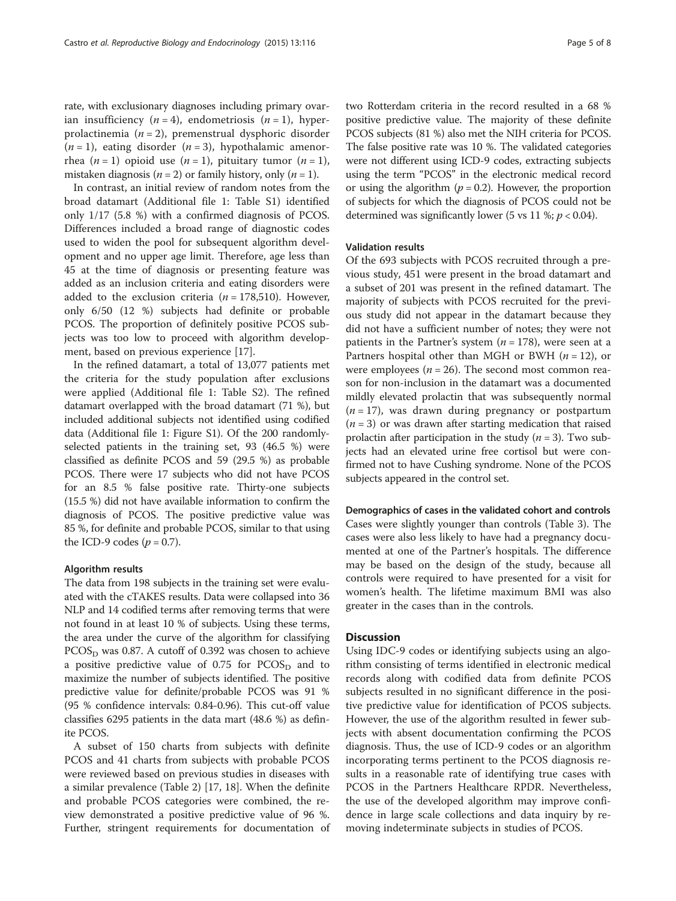rate, with exclusionary diagnoses including primary ovarian insufficiency  $(n = 4)$ , endometriosis  $(n = 1)$ , hyperprolactinemia ( $n = 2$ ), premenstrual dysphoric disorder  $(n = 1)$ , eating disorder  $(n = 3)$ , hypothalamic amenorrhea (*n* = 1) opioid use (*n* = 1), pituitary tumor (*n* = 1), mistaken diagnosis ( $n = 2$ ) or family history, only ( $n = 1$ ).

In contrast, an initial review of random notes from the broad datamart (Additional file [1](#page-6-0): Table S1) identified only 1/17 (5.8 %) with a confirmed diagnosis of PCOS. Differences included a broad range of diagnostic codes used to widen the pool for subsequent algorithm development and no upper age limit. Therefore, age less than 45 at the time of diagnosis or presenting feature was added as an inclusion criteria and eating disorders were added to the exclusion criteria ( $n = 178,510$ ). However, only 6/50 (12 %) subjects had definite or probable PCOS. The proportion of definitely positive PCOS subjects was too low to proceed with algorithm development, based on previous experience [[17\]](#page-7-0).

In the refined datamart, a total of 13,077 patients met the criteria for the study population after exclusions were applied (Additional file [1](#page-6-0): Table S2). The refined datamart overlapped with the broad datamart (71 %), but included additional subjects not identified using codified data (Additional file [1:](#page-6-0) Figure S1). Of the 200 randomlyselected patients in the training set, 93 (46.5 %) were classified as definite PCOS and 59 (29.5 %) as probable PCOS. There were 17 subjects who did not have PCOS for an 8.5 % false positive rate. Thirty-one subjects (15.5 %) did not have available information to confirm the diagnosis of PCOS. The positive predictive value was 85 %, for definite and probable PCOS, similar to that using the ICD-9 codes  $(p = 0.7)$ .

#### Algorithm results

The data from 198 subjects in the training set were evaluated with the cTAKES results. Data were collapsed into 36 NLP and 14 codified terms after removing terms that were not found in at least 10 % of subjects. Using these terms, the area under the curve of the algorithm for classifying  $PCOS<sub>D</sub>$  was 0.87. A cutoff of 0.392 was chosen to achieve a positive predictive value of 0.75 for  $PCOS<sub>D</sub>$  and to maximize the number of subjects identified. The positive predictive value for definite/probable PCOS was 91 % (95 % confidence intervals: 0.84-0.96). This cut-off value classifies 6295 patients in the data mart (48.6 %) as definite PCOS.

A subset of 150 charts from subjects with definite PCOS and 41 charts from subjects with probable PCOS were reviewed based on previous studies in diseases with a similar prevalence (Table [2](#page-3-0)) [\[17](#page-7-0), [18](#page-7-0)]. When the definite and probable PCOS categories were combined, the review demonstrated a positive predictive value of 96 %. Further, stringent requirements for documentation of two Rotterdam criteria in the record resulted in a 68 % positive predictive value. The majority of these definite PCOS subjects (81 %) also met the NIH criteria for PCOS. The false positive rate was 10 %. The validated categories were not different using ICD-9 codes, extracting subjects using the term "PCOS" in the electronic medical record or using the algorithm ( $p = 0.2$ ). However, the proportion of subjects for which the diagnosis of PCOS could not be determined was significantly lower (5 vs 11 %;  $p < 0.04$ ).

# Validation results

Of the 693 subjects with PCOS recruited through a previous study, 451 were present in the broad datamart and a subset of 201 was present in the refined datamart. The majority of subjects with PCOS recruited for the previous study did not appear in the datamart because they did not have a sufficient number of notes; they were not patients in the Partner's system ( $n = 178$ ), were seen at a Partners hospital other than MGH or BWH  $(n = 12)$ , or were employees ( $n = 26$ ). The second most common reason for non-inclusion in the datamart was a documented mildly elevated prolactin that was subsequently normal  $(n = 17)$ , was drawn during pregnancy or postpartum  $(n = 3)$  or was drawn after starting medication that raised prolactin after participation in the study  $(n = 3)$ . Two subjects had an elevated urine free cortisol but were confirmed not to have Cushing syndrome. None of the PCOS subjects appeared in the control set.

Demographics of cases in the validated cohort and controls Cases were slightly younger than controls (Table [3\)](#page-5-0). The cases were also less likely to have had a pregnancy documented at one of the Partner's hospitals. The difference may be based on the design of the study, because all controls were required to have presented for a visit for women's health. The lifetime maximum BMI was also greater in the cases than in the controls.

#### **Discussion**

Using IDC-9 codes or identifying subjects using an algorithm consisting of terms identified in electronic medical records along with codified data from definite PCOS subjects resulted in no significant difference in the positive predictive value for identification of PCOS subjects. However, the use of the algorithm resulted in fewer subjects with absent documentation confirming the PCOS diagnosis. Thus, the use of ICD-9 codes or an algorithm incorporating terms pertinent to the PCOS diagnosis results in a reasonable rate of identifying true cases with PCOS in the Partners Healthcare RPDR. Nevertheless, the use of the developed algorithm may improve confidence in large scale collections and data inquiry by removing indeterminate subjects in studies of PCOS.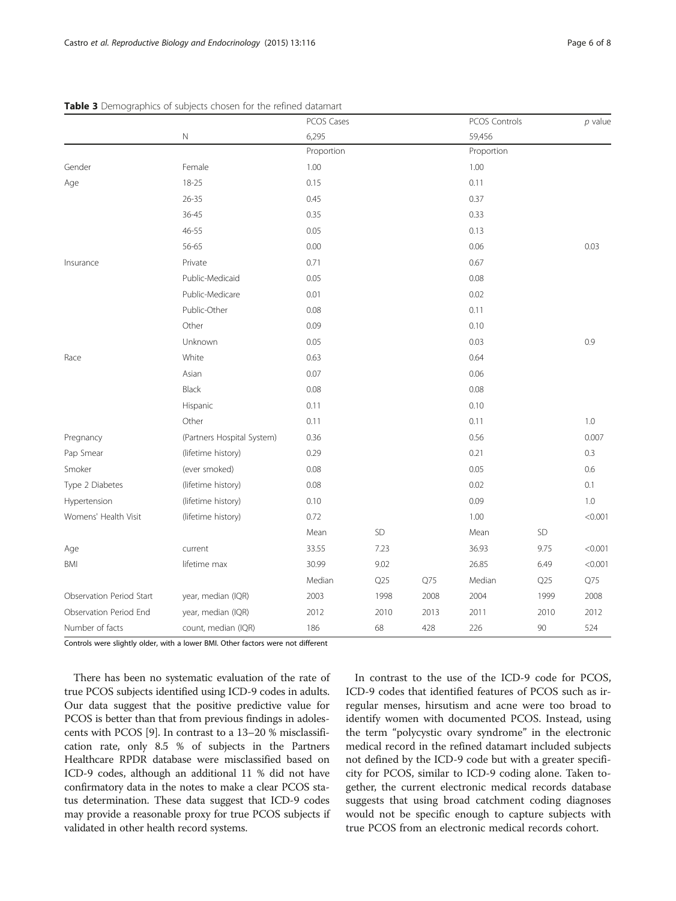|                          |                            | PCOS Cases<br>6,295 |      |            | PCOS Controls<br>59,456 |      |         |
|--------------------------|----------------------------|---------------------|------|------------|-------------------------|------|---------|
|                          | N                          |                     |      |            |                         |      |         |
|                          |                            | Proportion          |      | Proportion |                         |      |         |
| Gender                   | Female                     | 1.00                |      |            | 1.00                    |      |         |
| Age                      | 18-25                      | 0.15                |      |            | 0.11                    |      |         |
|                          | $26 - 35$                  | 0.45                |      |            | 0.37                    |      |         |
|                          | $36 - 45$                  | 0.35                |      |            | 0.33                    |      |         |
|                          | 46-55                      | 0.05                |      |            | 0.13                    |      |         |
|                          | 56-65                      | 0.00                |      |            | 0.06                    |      | 0.03    |
| Insurance                | Private                    | 0.71                |      |            | 0.67                    |      |         |
|                          | Public-Medicaid            | 0.05                |      |            | 0.08                    |      |         |
|                          | Public-Medicare            | 0.01                |      |            | 0.02                    |      |         |
|                          | Public-Other               | 0.08                |      | 0.11       |                         |      |         |
|                          | Other                      | 0.09                |      |            | 0.10                    |      |         |
|                          | Unknown                    | 0.05                |      |            | 0.03                    |      | 0.9     |
| Race                     | White                      | 0.63                |      |            | 0.64                    |      |         |
|                          | Asian                      | 0.07                |      |            | 0.06                    |      |         |
|                          | Black                      | 0.08                |      |            | 0.08                    |      |         |
|                          | Hispanic                   | 0.11                |      |            | 0.10                    |      |         |
|                          | Other                      | 0.11                |      |            | 0.11                    |      | 1.0     |
| Pregnancy                | (Partners Hospital System) | 0.36                |      |            | 0.56                    |      | 0.007   |
| Pap Smear                | (lifetime history)         | 0.29                |      |            | 0.21                    |      | 0.3     |
| Smoker                   | (ever smoked)              | 0.08                |      |            | 0.05                    |      | 0.6     |
| Type 2 Diabetes          | (lifetime history)         | 0.08                |      |            | 0.02                    |      | 0.1     |
| Hypertension             | (lifetime history)         | 0.10                |      |            | 0.09                    |      | $1.0\,$ |
| Womens' Health Visit     | (lifetime history)         | 0.72                |      |            | 1.00                    |      | < 0.001 |
|                          |                            | Mean                | SD   |            | Mean                    | SD   |         |
| Age                      | current                    | 33.55               | 7.23 |            | 36.93                   | 9.75 | < 0.001 |
| <b>BMI</b>               | lifetime max               | 30.99               | 9.02 |            | 26.85                   | 6.49 | < 0.001 |
|                          |                            | Median              | Q25  | Q75        | Median                  | Q25  | Q75     |
| Observation Period Start | year, median (IQR)         | 2003                | 1998 | 2008       | 2004                    | 1999 | 2008    |
| Observation Period End   | year, median (IQR)         | 2012                | 2010 | 2013       | 2011                    | 2010 | 2012    |
| Number of facts          | count, median (IQR)        | 186                 | 68   | 428        | 226                     | 90   | 524     |

#### <span id="page-5-0"></span>Table 3 Demographics of subjects chosen for the refined datamart

Controls were slightly older, with a lower BMI. Other factors were not different

There has been no systematic evaluation of the rate of true PCOS subjects identified using ICD-9 codes in adults. Our data suggest that the positive predictive value for PCOS is better than that from previous findings in adolescents with PCOS [\[9](#page-7-0)]. In contrast to a 13–20 % misclassification rate, only 8.5 % of subjects in the Partners Healthcare RPDR database were misclassified based on ICD-9 codes, although an additional 11 % did not have confirmatory data in the notes to make a clear PCOS status determination. These data suggest that ICD-9 codes may provide a reasonable proxy for true PCOS subjects if validated in other health record systems.

In contrast to the use of the ICD-9 code for PCOS, ICD-9 codes that identified features of PCOS such as irregular menses, hirsutism and acne were too broad to identify women with documented PCOS. Instead, using the term "polycystic ovary syndrome" in the electronic medical record in the refined datamart included subjects not defined by the ICD-9 code but with a greater specificity for PCOS, similar to ICD-9 coding alone. Taken together, the current electronic medical records database suggests that using broad catchment coding diagnoses would not be specific enough to capture subjects with true PCOS from an electronic medical records cohort.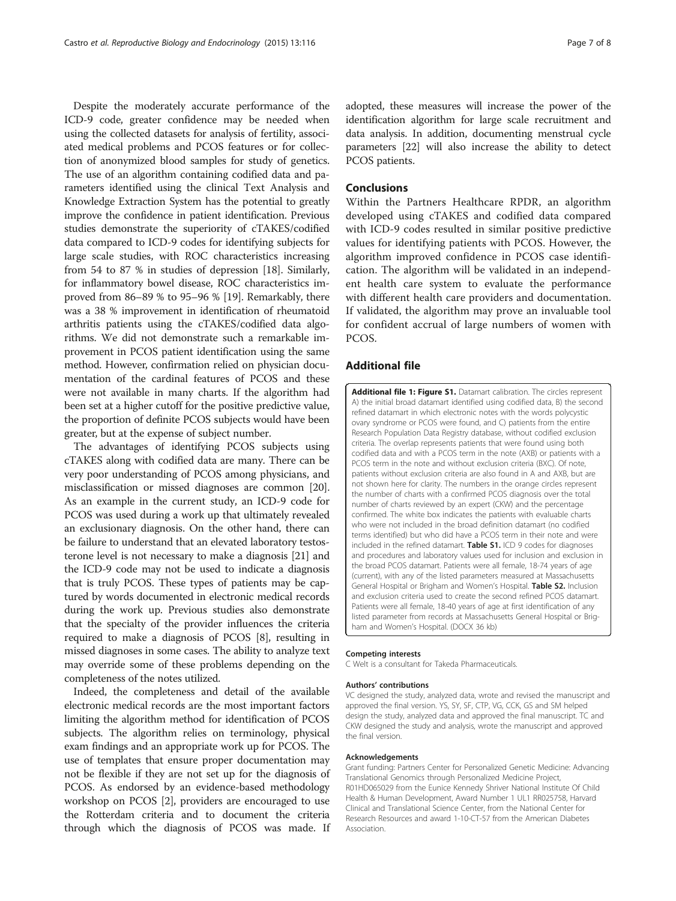<span id="page-6-0"></span>Despite the moderately accurate performance of the ICD-9 code, greater confidence may be needed when using the collected datasets for analysis of fertility, associated medical problems and PCOS features or for collection of anonymized blood samples for study of genetics. The use of an algorithm containing codified data and parameters identified using the clinical Text Analysis and Knowledge Extraction System has the potential to greatly improve the confidence in patient identification. Previous studies demonstrate the superiority of cTAKES/codified data compared to ICD-9 codes for identifying subjects for large scale studies, with ROC characteristics increasing from 54 to 87 % in studies of depression [[18](#page-7-0)]. Similarly, for inflammatory bowel disease, ROC characteristics improved from 86–89 % to 95–96 % [[19\]](#page-7-0). Remarkably, there was a 38 % improvement in identification of rheumatoid arthritis patients using the cTAKES/codified data algorithms. We did not demonstrate such a remarkable improvement in PCOS patient identification using the same method. However, confirmation relied on physician documentation of the cardinal features of PCOS and these were not available in many charts. If the algorithm had been set at a higher cutoff for the positive predictive value, the proportion of definite PCOS subjects would have been greater, but at the expense of subject number.

The advantages of identifying PCOS subjects using cTAKES along with codified data are many. There can be very poor understanding of PCOS among physicians, and misclassification or missed diagnoses are common [[20](#page-7-0)]. As an example in the current study, an ICD-9 code for PCOS was used during a work up that ultimately revealed an exclusionary diagnosis. On the other hand, there can be failure to understand that an elevated laboratory testosterone level is not necessary to make a diagnosis [[21](#page-7-0)] and the ICD-9 code may not be used to indicate a diagnosis that is truly PCOS. These types of patients may be captured by words documented in electronic medical records during the work up. Previous studies also demonstrate that the specialty of the provider influences the criteria required to make a diagnosis of PCOS [[8\]](#page-7-0), resulting in missed diagnoses in some cases. The ability to analyze text may override some of these problems depending on the completeness of the notes utilized.

Indeed, the completeness and detail of the available electronic medical records are the most important factors limiting the algorithm method for identification of PCOS subjects. The algorithm relies on terminology, physical exam findings and an appropriate work up for PCOS. The use of templates that ensure proper documentation may not be flexible if they are not set up for the diagnosis of PCOS. As endorsed by an evidence-based methodology workshop on PCOS [\[2](#page-7-0)], providers are encouraged to use the Rotterdam criteria and to document the criteria through which the diagnosis of PCOS was made. If

adopted, these measures will increase the power of the identification algorithm for large scale recruitment and data analysis. In addition, documenting menstrual cycle parameters [[22](#page-7-0)] will also increase the ability to detect PCOS patients.

#### Conclusions

Within the Partners Healthcare RPDR, an algorithm developed using cTAKES and codified data compared with ICD-9 codes resulted in similar positive predictive values for identifying patients with PCOS. However, the algorithm improved confidence in PCOS case identification. The algorithm will be validated in an independent health care system to evaluate the performance with different health care providers and documentation. If validated, the algorithm may prove an invaluable tool for confident accrual of large numbers of women with PCOS.

### Additional file

[Additional file 1: Figure S1.](dx.doi.org/10.1186/s12958-015-0115-z) Datamart calibration. The circles represent A) the initial broad datamart identified using codified data, B) the second refined datamart in which electronic notes with the words polycystic ovary syndrome or PCOS were found, and C) patients from the entire Research Population Data Registry database, without codified exclusion criteria. The overlap represents patients that were found using both codified data and with a PCOS term in the note (AXB) or patients with a PCOS term in the note and without exclusion criteria (BXC). Of note, patients without exclusion criteria are also found in A and AXB, but are not shown here for clarity. The numbers in the orange circles represent the number of charts with a confirmed PCOS diagnosis over the total number of charts reviewed by an expert (CKW) and the percentage confirmed. The white box indicates the patients with evaluable charts who were not included in the broad definition datamart (no codified terms identified) but who did have a PCOS term in their note and were included in the refined datamart. Table S1. ICD 9 codes for diagnoses and procedures and laboratory values used for inclusion and exclusion in the broad PCOS datamart. Patients were all female, 18-74 years of age (current), with any of the listed parameters measured at Massachusetts General Hospital or Brigham and Women's Hospital. Table S2. Inclusion and exclusion criteria used to create the second refined PCOS datamart. Patients were all female, 18-40 years of age at first identification of any listed parameter from records at Massachusetts General Hospital or Brigham and Women's Hospital. (DOCX 36 kb)

#### Competing interests

C Welt is a consultant for Takeda Pharmaceuticals.

#### Authors' contributions

VC designed the study, analyzed data, wrote and revised the manuscript and approved the final version. YS, SY, SF, CTP, VG, CCK, GS and SM helped design the study, analyzed data and approved the final manuscript. TC and CKW designed the study and analysis, wrote the manuscript and approved the final version.

#### Acknowledgements

Grant funding: Partners Center for Personalized Genetic Medicine: Advancing Translational Genomics through Personalized Medicine Project, R01HD065029 from the Eunice Kennedy Shriver National Institute Of Child Health & Human Development, Award Number 1 UL1 RR025758, Harvard Clinical and Translational Science Center, from the National Center for Research Resources and award 1-10-CT-57 from the American Diabetes Association.